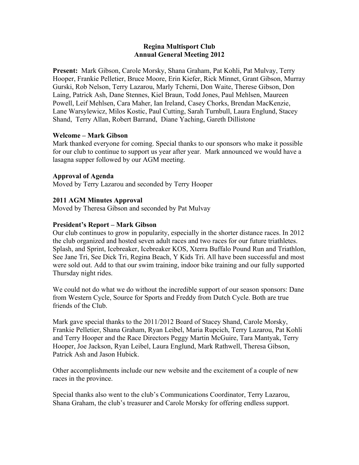#### **Regina Multisport Club Annual General Meeting 2012**

**Present:** Mark Gibson, Carole Morsky, Shana Graham, Pat Kohli, Pat Mulvay, Terry Hooper, Frankie Pelletier, Bruce Moore, Erin Kiefer, Rick Minnet, Grant Gibson, Murray Gurski, Rob Nelson, Terry Lazarou, Marly Tcherni, Don Waite, Therese Gibson, Don Laing, Patrick Ash, Dane Stennes, Kiel Braun, Todd Jones, Paul Mehlsen, Maureen Powell, Leif Mehlsen, Cara Maher, Ian Ireland, Casey Chorks, Brendan MacKenzie, Lane Warsylewicz, Milos Kostic, Paul Cutting, Sarah Turnbull, Laura Englund, Stacey Shand, Terry Allan, Robert Barrand, Diane Yaching, Gareth Dillistone

#### **Welcome – Mark Gibson**

Mark thanked everyone for coming. Special thanks to our sponsors who make it possible for our club to continue to support us year after year. Mark announced we would have a lasagna supper followed by our AGM meeting.

## **Approval of Agenda**

Moved by Terry Lazarou and seconded by Terry Hooper

## **2011 AGM Minutes Approval**

Moved by Theresa Gibson and seconded by Pat Mulvay

#### **President's Report – Mark Gibson**

Our club continues to grow in popularity, especially in the shorter distance races. In 2012 the club organized and hosted seven adult races and two races for our future triathletes. Splash, and Sprint, Icebreaker, Icebreaker KOS, Xterra Buffalo Pound Run and Triathlon, See Jane Tri, See Dick Tri, Regina Beach, Y Kids Tri. All have been successful and most were sold out. Add to that our swim training, indoor bike training and our fully supported Thursday night rides.

We could not do what we do without the incredible support of our season sponsors: Dane from Western Cycle, Source for Sports and Freddy from Dutch Cycle. Both are true friends of the Club.

Mark gave special thanks to the 2011/2012 Board of Stacey Shand, Carole Morsky, Frankie Pelletier, Shana Graham, Ryan Leibel, Maria Rupcich, Terry Lazarou, Pat Kohli and Terry Hooper and the Race Directors Peggy Martin McGuire, Tara Mantyak, Terry Hooper, Joe Jackson, Ryan Leibel, Laura Englund, Mark Rathwell, Theresa Gibson, Patrick Ash and Jason Hubick.

Other accomplishments include our new website and the excitement of a couple of new races in the province.

Special thanks also went to the club's Communications Coordinator, Terry Lazarou, Shana Graham, the club's treasurer and Carole Morsky for offering endless support.